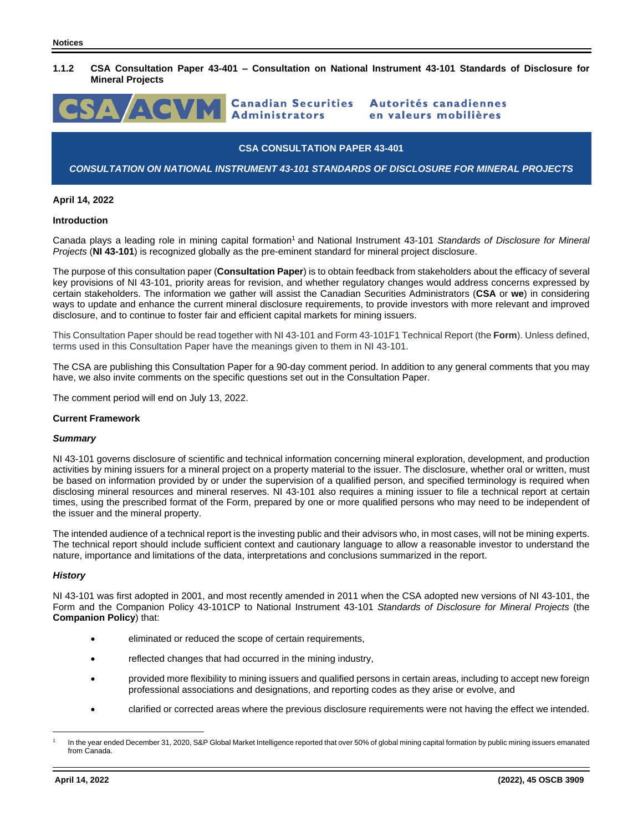# **1.1.2 CSA Consultation Paper 43-401 – Consultation on National Instrument 43-101 Standards of Disclosure for Mineral Projects**



### **CSA CONSULTATION PAPER 43-401**

# *CONSULTATION ON NATIONAL INSTRUMENT 43-101 STANDARDS OF DISCLOSURE FOR MINERAL PROJECTS*

## **April 14, 2022**

### **Introduction**

Canada plays a leading role in mining capital formation<sup>1</sup> and National Instrument 43-101 *Standards of Disclosure for Mineral Projects* (**NI 43-101**) is recognized globally as the pre-eminent standard for mineral project disclosure.

The purpose of this consultation paper (**Consultation Paper**) is to obtain feedback from stakeholders about the efficacy of several key provisions of NI 43-101, priority areas for revision, and whether regulatory changes would address concerns expressed by certain stakeholders. The information we gather will assist the Canadian Securities Administrators (**CSA** or **we**) in considering ways to update and enhance the current mineral disclosure requirements, to provide investors with more relevant and improved disclosure, and to continue to foster fair and efficient capital markets for mining issuers.

This Consultation Paper should be read together with NI 43-101 and Form 43-101F1 Technical Report (the **Form**). Unless defined, terms used in this Consultation Paper have the meanings given to them in NI 43-101.

The CSA are publishing this Consultation Paper for a 90-day comment period. In addition to any general comments that you may have, we also invite comments on the specific questions set out in the Consultation Paper.

The comment period will end on July 13, 2022.

#### **Current Framework**

### *Summary*

NI 43-101 governs disclosure of scientific and technical information concerning mineral exploration, development, and production activities by mining issuers for a mineral project on a property material to the issuer. The disclosure, whether oral or written, must be based on information provided by or under the supervision of a qualified person, and specified terminology is required when disclosing mineral resources and mineral reserves. NI 43-101 also requires a mining issuer to file a technical report at certain times, using the prescribed format of the Form, prepared by one or more qualified persons who may need to be independent of the issuer and the mineral property.

The intended audience of a technical report is the investing public and their advisors who, in most cases, will not be mining experts. The technical report should include sufficient context and cautionary language to allow a reasonable investor to understand the nature, importance and limitations of the data, interpretations and conclusions summarized in the report.

#### *History*

NI 43-101 was first adopted in 2001, and most recently amended in 2011 when the CSA adopted new versions of NI 43-101, the Form and the Companion Policy 43-101CP to National Instrument 43-101 *Standards of Disclosure for Mineral Projects* (the **Companion Policy**) that:

- eliminated or reduced the scope of certain requirements,
- reflected changes that had occurred in the mining industry,
- provided more flexibility to mining issuers and qualified persons in certain areas, including to accept new foreign professional associations and designations, and reporting codes as they arise or evolve, and
- clarified or corrected areas where the previous disclosure requirements were not having the effect we intended.

<sup>1</sup> In the year ended December 31, 2020, S&P Global Market Intelligence reported that over 50% of global mining capital formation by public mining issuers emanated from Canada.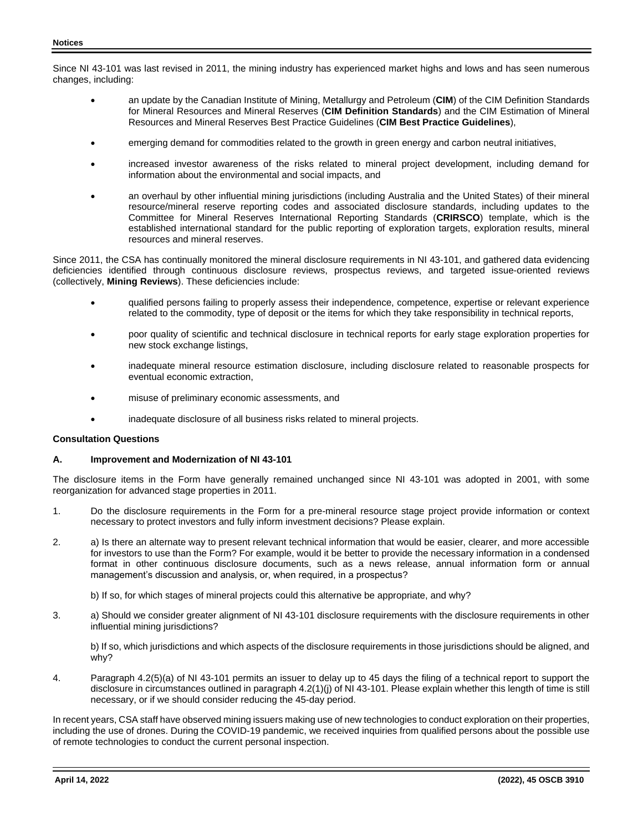Since NI 43-101 was last revised in 2011, the mining industry has experienced market highs and lows and has seen numerous changes, including:

- an update by the Canadian Institute of Mining, Metallurgy and Petroleum (**CIM**) of the CIM Definition Standards for Mineral Resources and Mineral Reserves (**CIM Definition Standards**) and the CIM Estimation of Mineral Resources and Mineral Reserves Best Practice Guidelines (**CIM Best Practice Guidelines**),
- emerging demand for commodities related to the growth in green energy and carbon neutral initiatives,
- increased investor awareness of the risks related to mineral project development, including demand for information about the environmental and social impacts, and
- an overhaul by other influential mining jurisdictions (including Australia and the United States) of their mineral resource/mineral reserve reporting codes and associated disclosure standards, including updates to the Committee for Mineral Reserves International Reporting Standards (**CRIRSCO**) template, which is the established international standard for the public reporting of exploration targets, exploration results, mineral resources and mineral reserves.

Since 2011, the CSA has continually monitored the mineral disclosure requirements in NI 43-101, and gathered data evidencing deficiencies identified through continuous disclosure reviews, prospectus reviews, and targeted issue-oriented reviews (collectively, **Mining Reviews**). These deficiencies include:

- qualified persons failing to properly assess their independence, competence, expertise or relevant experience related to the commodity, type of deposit or the items for which they take responsibility in technical reports,
- poor quality of scientific and technical disclosure in technical reports for early stage exploration properties for new stock exchange listings,
- inadequate mineral resource estimation disclosure, including disclosure related to reasonable prospects for eventual economic extraction,
- misuse of preliminary economic assessments, and
- inadequate disclosure of all business risks related to mineral projects.

# **Consultation Questions**

## **A. Improvement and Modernization of NI 43-101**

The disclosure items in the Form have generally remained unchanged since NI 43-101 was adopted in 2001, with some reorganization for advanced stage properties in 2011.

- 1. Do the disclosure requirements in the Form for a pre-mineral resource stage project provide information or context necessary to protect investors and fully inform investment decisions? Please explain.
- 2. a) Is there an alternate way to present relevant technical information that would be easier, clearer, and more accessible for investors to use than the Form? For example, would it be better to provide the necessary information in a condensed format in other continuous disclosure documents, such as a news release, annual information form or annual management's discussion and analysis, or, when required, in a prospectus?
	- b) If so, for which stages of mineral projects could this alternative be appropriate, and why?
- 3. a) Should we consider greater alignment of NI 43-101 disclosure requirements with the disclosure requirements in other influential mining jurisdictions?

b) If so, which jurisdictions and which aspects of the disclosure requirements in those jurisdictions should be aligned, and why?

4. Paragraph 4.2(5)(a) of NI 43-101 permits an issuer to delay up to 45 days the filing of a technical report to support the disclosure in circumstances outlined in paragraph 4.2(1)(j) of NI 43-101. Please explain whether this length of time is still necessary, or if we should consider reducing the 45-day period.

In recent years, CSA staff have observed mining issuers making use of new technologies to conduct exploration on their properties, including the use of drones. During the COVID-19 pandemic, we received inquiries from qualified persons about the possible use of remote technologies to conduct the current personal inspection.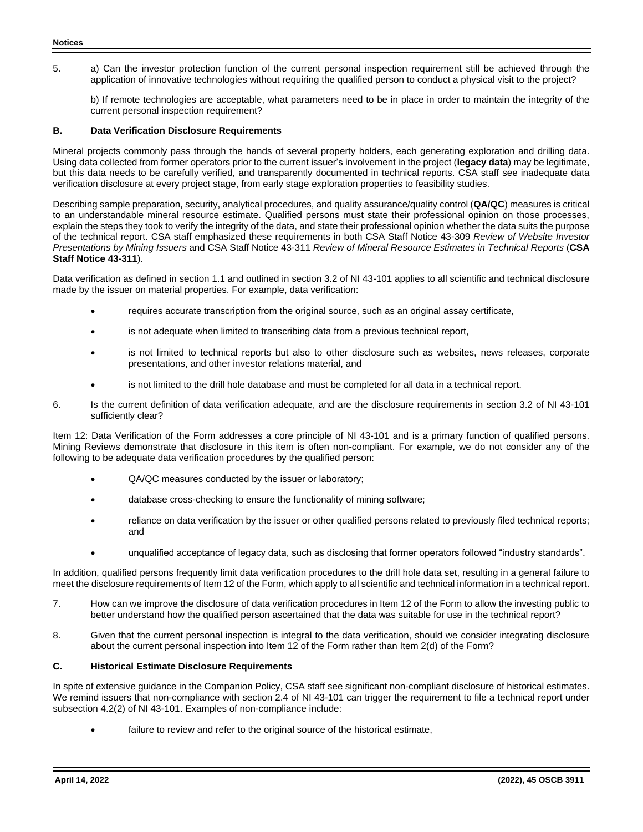5. a) Can the investor protection function of the current personal inspection requirement still be achieved through the application of innovative technologies without requiring the qualified person to conduct a physical visit to the project?

b) If remote technologies are acceptable, what parameters need to be in place in order to maintain the integrity of the current personal inspection requirement?

# **B. Data Verification Disclosure Requirements**

Mineral projects commonly pass through the hands of several property holders, each generating exploration and drilling data. Using data collected from former operators prior to the current issuer's involvement in the project (**legacy data**) may be legitimate, but this data needs to be carefully verified, and transparently documented in technical reports. CSA staff see inadequate data verification disclosure at every project stage, from early stage exploration properties to feasibility studies.

Describing sample preparation, security, analytical procedures, and quality assurance/quality control (**QA/QC**) measures is critical to an understandable mineral resource estimate. Qualified persons must state their professional opinion on those processes, explain the steps they took to verify the integrity of the data, and state their professional opinion whether the data suits the purpose of the technical report. CSA staff emphasized these requirements in both CSA Staff Notice 43-309 *Review of Website Investor Presentations by Mining Issuers* and CSA Staff Notice 43-311 *Review of Mineral Resource Estimates in Technical Reports* (**CSA Staff Notice 43-311**).

Data verification as defined in section 1.1 and outlined in section 3.2 of NI 43-101 applies to all scientific and technical disclosure made by the issuer on material properties. For example, data verification:

- requires accurate transcription from the original source, such as an original assay certificate,
- is not adequate when limited to transcribing data from a previous technical report,
- is not limited to technical reports but also to other disclosure such as websites, news releases, corporate presentations, and other investor relations material, and
- is not limited to the drill hole database and must be completed for all data in a technical report.
- 6. Is the current definition of data verification adequate, and are the disclosure requirements in section 3.2 of NI 43-101 sufficiently clear?

Item 12: Data Verification of the Form addresses a core principle of NI 43-101 and is a primary function of qualified persons. Mining Reviews demonstrate that disclosure in this item is often non-compliant. For example, we do not consider any of the following to be adequate data verification procedures by the qualified person:

- QA/QC measures conducted by the issuer or laboratory;
- database cross-checking to ensure the functionality of mining software;
- reliance on data verification by the issuer or other qualified persons related to previously filed technical reports; and
- unqualified acceptance of legacy data, such as disclosing that former operators followed "industry standards".

In addition, qualified persons frequently limit data verification procedures to the drill hole data set, resulting in a general failure to meet the disclosure requirements of Item 12 of the Form, which apply to all scientific and technical information in a technical report.

- 7. How can we improve the disclosure of data verification procedures in Item 12 of the Form to allow the investing public to better understand how the qualified person ascertained that the data was suitable for use in the technical report?
- 8. Given that the current personal inspection is integral to the data verification, should we consider integrating disclosure about the current personal inspection into Item 12 of the Form rather than Item 2(d) of the Form?

## **C. Historical Estimate Disclosure Requirements**

In spite of extensive guidance in the Companion Policy, CSA staff see significant non-compliant disclosure of historical estimates. We remind issuers that non-compliance with section 2.4 of NI 43-101 can trigger the requirement to file a technical report under subsection 4.2(2) of NI 43-101. Examples of non-compliance include:

failure to review and refer to the original source of the historical estimate,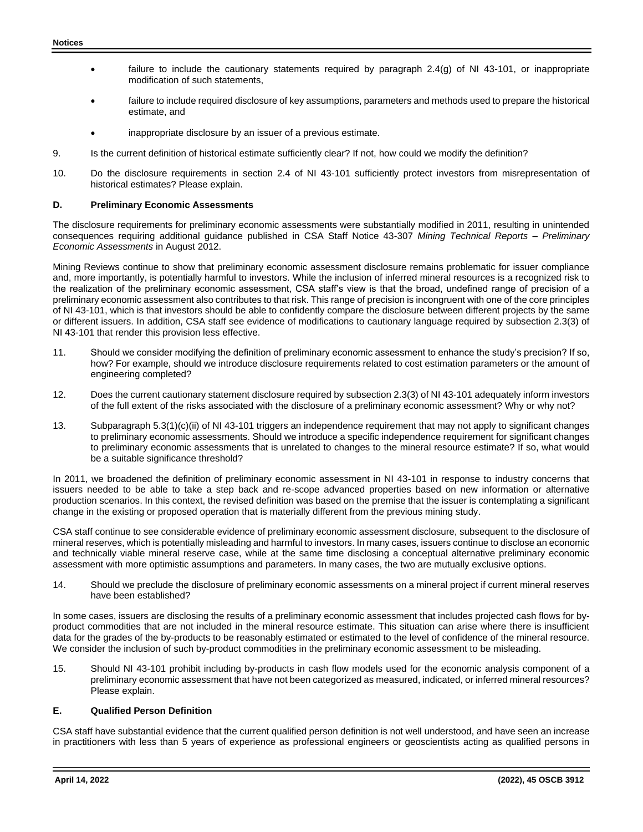- failure to include the cautionary statements required by paragraph 2.4(g) of NI 43-101, or inappropriate modification of such statements,
- failure to include required disclosure of key assumptions, parameters and methods used to prepare the historical estimate, and
- inappropriate disclosure by an issuer of a previous estimate.
- 9. Is the current definition of historical estimate sufficiently clear? If not, how could we modify the definition?
- 10. Do the disclosure requirements in section 2.4 of NI 43-101 sufficiently protect investors from misrepresentation of historical estimates? Please explain.

### **D. Preliminary Economic Assessments**

The disclosure requirements for preliminary economic assessments were substantially modified in 2011, resulting in unintended consequences requiring additional guidance published in CSA Staff Notice 43-307 *Mining Technical Reports – Preliminary Economic Assessments* in August 2012.

Mining Reviews continue to show that preliminary economic assessment disclosure remains problematic for issuer compliance and, more importantly, is potentially harmful to investors. While the inclusion of inferred mineral resources is a recognized risk to the realization of the preliminary economic assessment, CSA staff's view is that the broad, undefined range of precision of a preliminary economic assessment also contributes to that risk. This range of precision is incongruent with one of the core principles of NI 43-101, which is that investors should be able to confidently compare the disclosure between different projects by the same or different issuers. In addition, CSA staff see evidence of modifications to cautionary language required by subsection 2.3(3) of NI 43-101 that render this provision less effective.

- 11. Should we consider modifying the definition of preliminary economic assessment to enhance the study's precision? If so, how? For example, should we introduce disclosure requirements related to cost estimation parameters or the amount of engineering completed?
- 12. Does the current cautionary statement disclosure required by subsection 2.3(3) of NI 43-101 adequately inform investors of the full extent of the risks associated with the disclosure of a preliminary economic assessment? Why or why not?
- 13. Subparagraph 5.3(1)(c)(ii) of NI 43-101 triggers an independence requirement that may not apply to significant changes to preliminary economic assessments. Should we introduce a specific independence requirement for significant changes to preliminary economic assessments that is unrelated to changes to the mineral resource estimate? If so, what would be a suitable significance threshold?

In 2011, we broadened the definition of preliminary economic assessment in NI 43-101 in response to industry concerns that issuers needed to be able to take a step back and re-scope advanced properties based on new information or alternative production scenarios. In this context, the revised definition was based on the premise that the issuer is contemplating a significant change in the existing or proposed operation that is materially different from the previous mining study.

CSA staff continue to see considerable evidence of preliminary economic assessment disclosure, subsequent to the disclosure of mineral reserves, which is potentially misleading and harmful to investors. In many cases, issuers continue to disclose an economic and technically viable mineral reserve case, while at the same time disclosing a conceptual alternative preliminary economic assessment with more optimistic assumptions and parameters. In many cases, the two are mutually exclusive options.

14. Should we preclude the disclosure of preliminary economic assessments on a mineral project if current mineral reserves have been established?

In some cases, issuers are disclosing the results of a preliminary economic assessment that includes projected cash flows for byproduct commodities that are not included in the mineral resource estimate. This situation can arise where there is insufficient data for the grades of the by-products to be reasonably estimated or estimated to the level of confidence of the mineral resource. We consider the inclusion of such by-product commodities in the preliminary economic assessment to be misleading.

15. Should NI 43-101 prohibit including by-products in cash flow models used for the economic analysis component of a preliminary economic assessment that have not been categorized as measured, indicated, or inferred mineral resources? Please explain.

# **E. Qualified Person Definition**

CSA staff have substantial evidence that the current qualified person definition is not well understood, and have seen an increase in practitioners with less than 5 years of experience as professional engineers or geoscientists acting as qualified persons in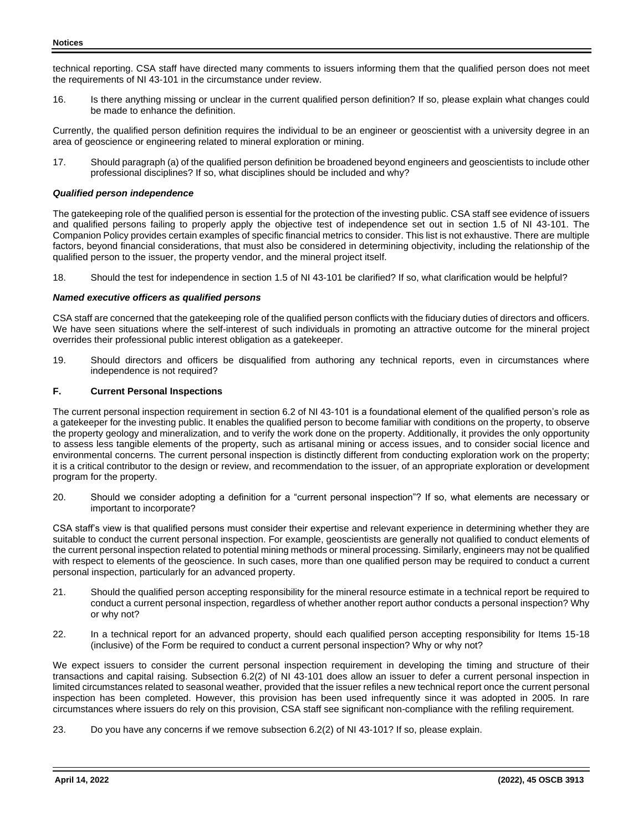technical reporting. CSA staff have directed many comments to issuers informing them that the qualified person does not meet the requirements of NI 43-101 in the circumstance under review.

16. Is there anything missing or unclear in the current qualified person definition? If so, please explain what changes could be made to enhance the definition.

Currently, the qualified person definition requires the individual to be an engineer or geoscientist with a university degree in an area of geoscience or engineering related to mineral exploration or mining.

17. Should paragraph (a) of the qualified person definition be broadened beyond engineers and geoscientists to include other professional disciplines? If so, what disciplines should be included and why?

# *Qualified person independence*

The gatekeeping role of the qualified person is essential for the protection of the investing public. CSA staff see evidence of issuers and qualified persons failing to properly apply the objective test of independence set out in section 1.5 of NI 43-101. The Companion Policy provides certain examples of specific financial metrics to consider. This list is not exhaustive. There are multiple factors, beyond financial considerations, that must also be considered in determining objectivity, including the relationship of the qualified person to the issuer, the property vendor, and the mineral project itself.

18. Should the test for independence in section 1.5 of NI 43-101 be clarified? If so, what clarification would be helpful?

## *Named executive officers as qualified persons*

CSA staff are concerned that the gatekeeping role of the qualified person conflicts with the fiduciary duties of directors and officers. We have seen situations where the self-interest of such individuals in promoting an attractive outcome for the mineral project overrides their professional public interest obligation as a gatekeeper.

19. Should directors and officers be disqualified from authoring any technical reports, even in circumstances where independence is not required?

### **F. Current Personal Inspections**

The current personal inspection requirement in section 6.2 of NI 43-101 is a foundational element of the qualified person's role as a gatekeeper for the investing public. It enables the qualified person to become familiar with conditions on the property, to observe the property geology and mineralization, and to verify the work done on the property. Additionally, it provides the only opportunity to assess less tangible elements of the property, such as artisanal mining or access issues, and to consider social licence and environmental concerns. The current personal inspection is distinctly different from conducting exploration work on the property; it is a critical contributor to the design or review, and recommendation to the issuer, of an appropriate exploration or development program for the property.

20. Should we consider adopting a definition for a "current personal inspection"? If so, what elements are necessary or important to incorporate?

CSA staff's view is that qualified persons must consider their expertise and relevant experience in determining whether they are suitable to conduct the current personal inspection. For example, geoscientists are generally not qualified to conduct elements of the current personal inspection related to potential mining methods or mineral processing. Similarly, engineers may not be qualified with respect to elements of the geoscience. In such cases, more than one qualified person may be required to conduct a current personal inspection, particularly for an advanced property.

- 21. Should the qualified person accepting responsibility for the mineral resource estimate in a technical report be required to conduct a current personal inspection, regardless of whether another report author conducts a personal inspection? Why or why not?
- 22. In a technical report for an advanced property, should each qualified person accepting responsibility for Items 15-18 (inclusive) of the Form be required to conduct a current personal inspection? Why or why not?

We expect issuers to consider the current personal inspection requirement in developing the timing and structure of their transactions and capital raising. Subsection 6.2(2) of NI 43-101 does allow an issuer to defer a current personal inspection in limited circumstances related to seasonal weather, provided that the issuer refiles a new technical report once the current personal inspection has been completed. However, this provision has been used infrequently since it was adopted in 2005. In rare circumstances where issuers do rely on this provision, CSA staff see significant non-compliance with the refiling requirement.

23. Do you have any concerns if we remove subsection 6.2(2) of NI 43-101? If so, please explain.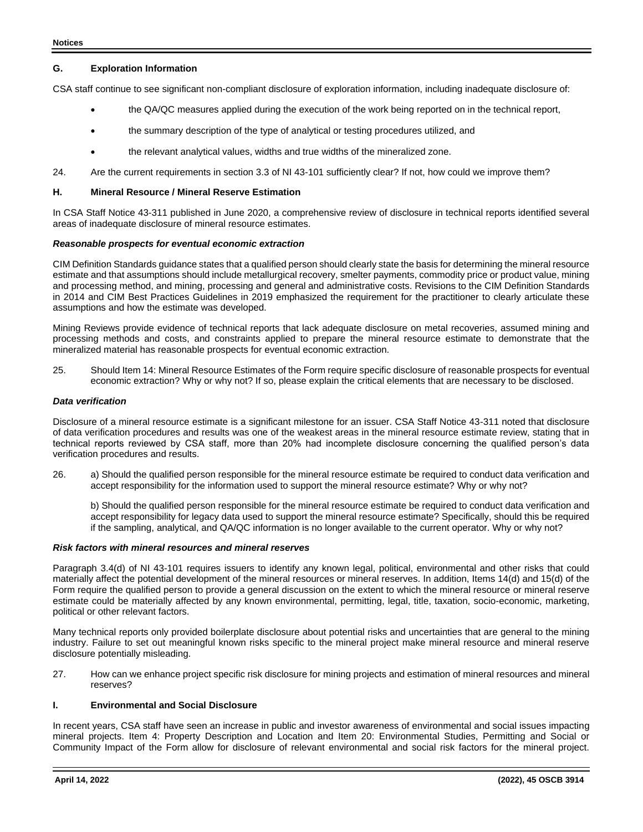### **G. Exploration Information**

CSA staff continue to see significant non-compliant disclosure of exploration information, including inadequate disclosure of:

- the QA/QC measures applied during the execution of the work being reported on in the technical report,
- **the summary description of the type of analytical or testing procedures utilized, and**
- the relevant analytical values, widths and true widths of the mineralized zone.
- 24. Are the current requirements in section 3.3 of NI 43-101 sufficiently clear? If not, how could we improve them?

#### **H. Mineral Resource / Mineral Reserve Estimation**

In CSA Staff Notice 43-311 published in June 2020, a comprehensive review of disclosure in technical reports identified several areas of inadequate disclosure of mineral resource estimates.

#### *Reasonable prospects for eventual economic extraction*

CIM Definition Standards guidance states that a qualified person should clearly state the basis for determining the mineral resource estimate and that assumptions should include metallurgical recovery, smelter payments, commodity price or product value, mining and processing method, and mining, processing and general and administrative costs. Revisions to the CIM Definition Standards in 2014 and CIM Best Practices Guidelines in 2019 emphasized the requirement for the practitioner to clearly articulate these assumptions and how the estimate was developed.

Mining Reviews provide evidence of technical reports that lack adequate disclosure on metal recoveries, assumed mining and processing methods and costs, and constraints applied to prepare the mineral resource estimate to demonstrate that the mineralized material has reasonable prospects for eventual economic extraction.

25. Should Item 14: Mineral Resource Estimates of the Form require specific disclosure of reasonable prospects for eventual economic extraction? Why or why not? If so, please explain the critical elements that are necessary to be disclosed.

### *Data verification*

Disclosure of a mineral resource estimate is a significant milestone for an issuer. CSA Staff Notice 43-311 noted that disclosure of data verification procedures and results was one of the weakest areas in the mineral resource estimate review, stating that in technical reports reviewed by CSA staff, more than 20% had incomplete disclosure concerning the qualified person's data verification procedures and results.

26. a) Should the qualified person responsible for the mineral resource estimate be required to conduct data verification and accept responsibility for the information used to support the mineral resource estimate? Why or why not?

b) Should the qualified person responsible for the mineral resource estimate be required to conduct data verification and accept responsibility for legacy data used to support the mineral resource estimate? Specifically, should this be required if the sampling, analytical, and QA/QC information is no longer available to the current operator. Why or why not?

### *Risk factors with mineral resources and mineral reserves*

Paragraph 3.4(d) of NI 43-101 requires issuers to identify any known legal, political, environmental and other risks that could materially affect the potential development of the mineral resources or mineral reserves. In addition, Items 14(d) and 15(d) of the Form require the qualified person to provide a general discussion on the extent to which the mineral resource or mineral reserve estimate could be materially affected by any known environmental, permitting, legal, title, taxation, socio-economic, marketing, political or other relevant factors.

Many technical reports only provided boilerplate disclosure about potential risks and uncertainties that are general to the mining industry. Failure to set out meaningful known risks specific to the mineral project make mineral resource and mineral reserve disclosure potentially misleading.

27. How can we enhance project specific risk disclosure for mining projects and estimation of mineral resources and mineral reserves?

# **I. Environmental and Social Disclosure**

In recent years, CSA staff have seen an increase in public and investor awareness of environmental and social issues impacting mineral projects. Item 4: Property Description and Location and Item 20: Environmental Studies, Permitting and Social or Community Impact of the Form allow for disclosure of relevant environmental and social risk factors for the mineral project.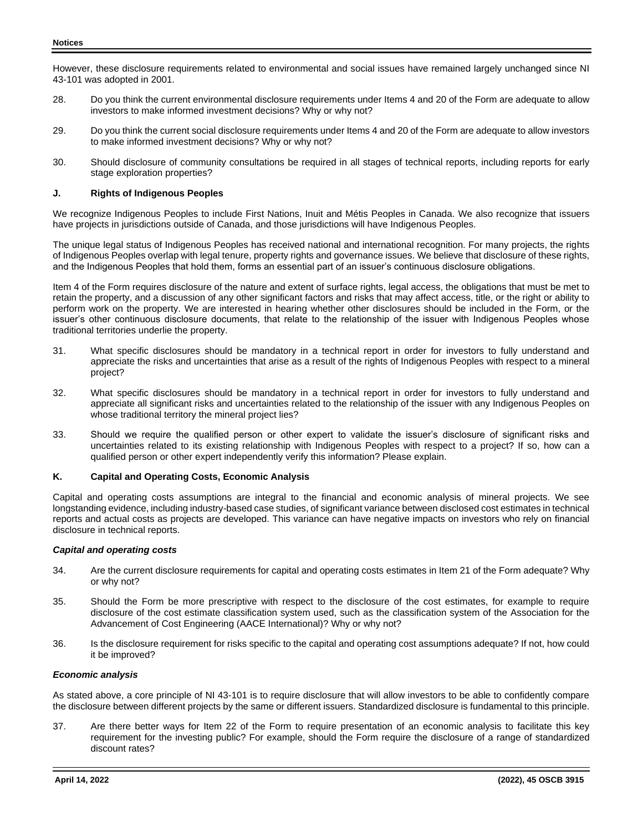However, these disclosure requirements related to environmental and social issues have remained largely unchanged since NI 43-101 was adopted in 2001.

- 28. Do you think the current environmental disclosure requirements under Items 4 and 20 of the Form are adequate to allow investors to make informed investment decisions? Why or why not?
- 29. Do you think the current social disclosure requirements under Items 4 and 20 of the Form are adequate to allow investors to make informed investment decisions? Why or why not?
- 30. Should disclosure of community consultations be required in all stages of technical reports, including reports for early stage exploration properties?

# **J. Rights of Indigenous Peoples**

We recognize Indigenous Peoples to include First Nations, Inuit and Métis Peoples in Canada. We also recognize that issuers have projects in jurisdictions outside of Canada, and those jurisdictions will have Indigenous Peoples.

The unique legal status of Indigenous Peoples has received national and international recognition. For many projects, the rights of Indigenous Peoples overlap with legal tenure, property rights and governance issues. We believe that disclosure of these rights, and the Indigenous Peoples that hold them, forms an essential part of an issuer's continuous disclosure obligations.

Item 4 of the Form requires disclosure of the nature and extent of surface rights, legal access, the obligations that must be met to retain the property, and a discussion of any other significant factors and risks that may affect access, title, or the right or ability to perform work on the property. We are interested in hearing whether other disclosures should be included in the Form, or the issuer's other continuous disclosure documents, that relate to the relationship of the issuer with Indigenous Peoples whose traditional territories underlie the property.

- 31. What specific disclosures should be mandatory in a technical report in order for investors to fully understand and appreciate the risks and uncertainties that arise as a result of the rights of Indigenous Peoples with respect to a mineral project?
- 32. What specific disclosures should be mandatory in a technical report in order for investors to fully understand and appreciate all significant risks and uncertainties related to the relationship of the issuer with any Indigenous Peoples on whose traditional territory the mineral project lies?
- 33. Should we require the qualified person or other expert to validate the issuer's disclosure of significant risks and uncertainties related to its existing relationship with Indigenous Peoples with respect to a project? If so, how can a qualified person or other expert independently verify this information? Please explain.

## **K. Capital and Operating Costs, Economic Analysis**

Capital and operating costs assumptions are integral to the financial and economic analysis of mineral projects. We see longstanding evidence, including industry-based case studies, of significant variance between disclosed cost estimates in technical reports and actual costs as projects are developed. This variance can have negative impacts on investors who rely on financial disclosure in technical reports.

## *Capital and operating costs*

- 34. Are the current disclosure requirements for capital and operating costs estimates in Item 21 of the Form adequate? Why or why not?
- 35. Should the Form be more prescriptive with respect to the disclosure of the cost estimates, for example to require disclosure of the cost estimate classification system used, such as the classification system of the Association for the Advancement of Cost Engineering (AACE International)? Why or why not?
- 36. Is the disclosure requirement for risks specific to the capital and operating cost assumptions adequate? If not, how could it be improved?

## *Economic analysis*

As stated above, a core principle of NI 43-101 is to require disclosure that will allow investors to be able to confidently compare the disclosure between different projects by the same or different issuers. Standardized disclosure is fundamental to this principle.

37. Are there better ways for Item 22 of the Form to require presentation of an economic analysis to facilitate this key requirement for the investing public? For example, should the Form require the disclosure of a range of standardized discount rates?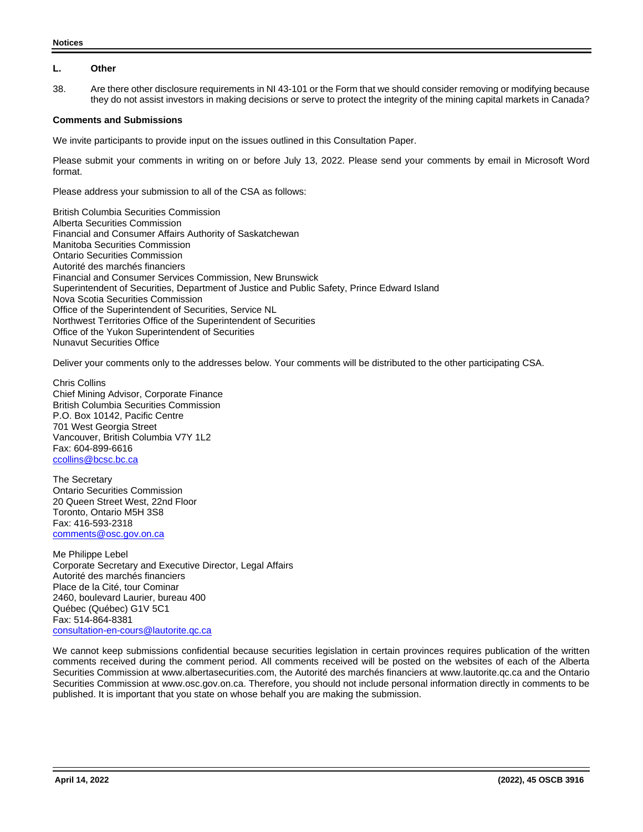### **L. Other**

38. Are there other disclosure requirements in NI 43-101 or the Form that we should consider removing or modifying because they do not assist investors in making decisions or serve to protect the integrity of the mining capital markets in Canada?

### **Comments and Submissions**

We invite participants to provide input on the issues outlined in this Consultation Paper.

Please submit your comments in writing on or before July 13, 2022. Please send your comments by email in Microsoft Word format.

Please address your submission to all of the CSA as follows:

British Columbia Securities Commission Alberta Securities Commission Financial and Consumer Affairs Authority of Saskatchewan Manitoba Securities Commission Ontario Securities Commission Autorité des marchés financiers Financial and Consumer Services Commission, New Brunswick Superintendent of Securities, Department of Justice and Public Safety, Prince Edward Island Nova Scotia Securities Commission Office of the Superintendent of Securities, Service NL Northwest Territories Office of the Superintendent of Securities Office of the Yukon Superintendent of Securities Nunavut Securities Office

Deliver your comments only to the addresses below. Your comments will be distributed to the other participating CSA.

Chris Collins Chief Mining Advisor, Corporate Finance British Columbia Securities Commission P.O. Box 10142, Pacific Centre 701 West Georgia Street Vancouver, British Columbia V7Y 1L2 Fax: 604-899-6616 [ccollins@bcsc.bc.ca](mailto:ccollins@bcsc.bc.ca)

The Secretary Ontario Securities Commission 20 Queen Street West, 22nd Floor Toronto, Ontario M5H 3S8 Fax: 416-593-2318 [comments@osc.gov.on.ca](mailto:comments@osc.gov.on.ca)

Me Philippe Lebel Corporate Secretary and Executive Director, Legal Affairs Autorité des marchés financiers Place de la Cité, tour Cominar 2460, boulevard Laurier, bureau 400 Québec (Québec) G1V 5C1 Fax: 514-864-8381 [consultation-en-cours@lautorite.qc.ca](mailto:consultation-en-cours@lautorite.qc.ca)

We cannot keep submissions confidential because securities legislation in certain provinces requires publication of the written comments received during the comment period. All comments received will be posted on the websites of each of the Alberta Securities Commission at www.albertasecurities.com, the Autorité des marchés financiers at www.lautorite.qc.ca and the Ontario Securities Commission at www.osc.gov.on.ca. Therefore, you should not include personal information directly in comments to be published. It is important that you state on whose behalf you are making the submission.